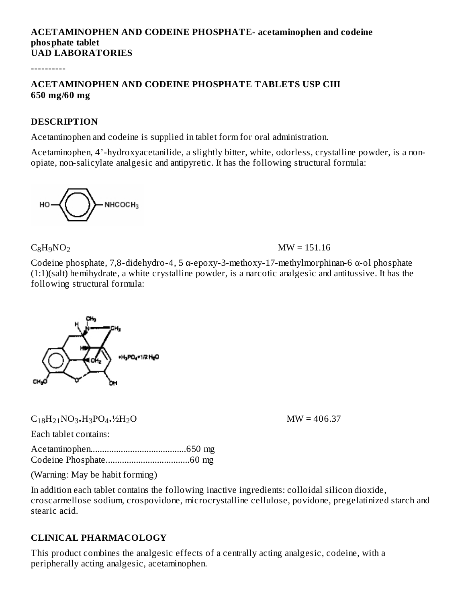#### **ACETAMINOPHEN AND CODEINE PHOSPHATE- acetaminophen and codeine phosphate tablet UAD LABORATORIES**

----------

#### **ACETAMINOPHEN AND CODEINE PHOSPHATE TABLETS USP CIII 650 mg/60 mg**

#### **DESCRIPTION**

Acetaminophen and codeine is supplied in tablet form for oral administration.

Acetaminophen, 4'-hydroxyacetanilide, a slightly bitter, white, odorless, crystalline powder, is a nonopiate, non-salicylate analgesic and antipyretic. It has the following structural formula:



 $C_8H_9NO_2$ 

#### $MW = 151.16$

Codeine phosphate, 7,8-didehydro-4, 5 α-epoxy-3-methoxy-17-methylmorphinan-6 α-ol phosphate (1:1)(salt) hemihydrate, a white crystalline powder, is a narcotic analgesic and antitussive. It has the following structural formula:

 $C_{18}H_{21}NO_3$ . $H_3PO_4$ .<sup>1</sup>/<sub>2</sub>O MW = 406.37

Each tablet contains:

Acetaminophen.........................................650 mg Codeine Phosphate....................................60 mg

(Warning: May be habit forming)

In addition each tablet contains the following inactive ingredients: colloidal silicon dioxide, croscarmellose sodium, crospovidone, microcrystalline cellulose, povidone, pregelatinized starch and stearic acid.

### **CLINICAL PHARMACOLOGY**

This product combines the analgesic effects of a centrally acting analgesic, codeine, with a peripherally acting analgesic, acetaminophen.

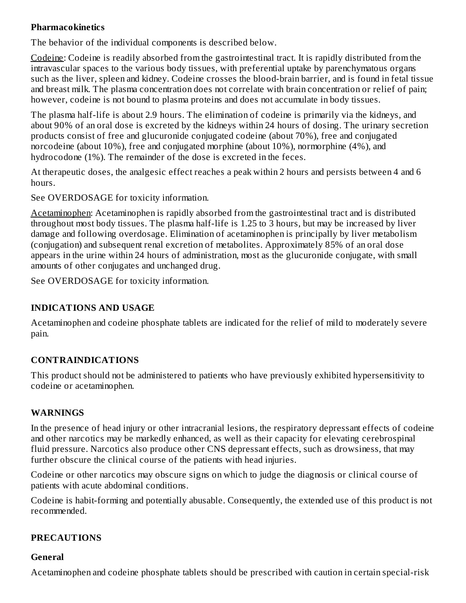## **Pharmacokinetics**

The behavior of the individual components is described below.

Codeine: Codeine is readily absorbed from the gastrointestinal tract. It is rapidly distributed from the intravascular spaces to the various body tissues, with preferential uptake by parenchymatous organs such as the liver, spleen and kidney. Codeine crosses the blood-brain barrier, and is found in fetal tissue and breast milk. The plasma concentration does not correlate with brain concentration or relief of pain; however, codeine is not bound to plasma proteins and does not accumulate in body tissues.

The plasma half-life is about 2.9 hours. The elimination of codeine is primarily via the kidneys, and about 90% of an oral dose is excreted by the kidneys within 24 hours of dosing. The urinary secretion products consist of free and glucuronide conjugated codeine (about 70%), free and conjugated norcodeine (about 10%), free and conjugated morphine (about 10%), normorphine (4%), and hydrocodone (1%). The remainder of the dose is excreted in the feces.

At therapeutic doses, the analgesic effect reaches a peak within 2 hours and persists between 4 and 6 hours.

See OVERDOSAGE for toxicity information.

Acetaminophen: Acetaminophen is rapidly absorbed from the gastrointestinal tract and is distributed throughout most body tissues. The plasma half-life is 1.25 to 3 hours, but may be increased by liver damage and following overdosage. Elimination of acetaminophen is principally by liver metabolism (conjugation) and subsequent renal excretion of metabolites. Approximately 85% of an oral dose appears in the urine within 24 hours of administration, most as the glucuronide conjugate, with small amounts of other conjugates and unchanged drug.

See OVERDOSAGE for toxicity information.

### **INDICATIONS AND USAGE**

Acetaminophen and codeine phosphate tablets are indicated for the relief of mild to moderately severe pain.

### **CONTRAINDICATIONS**

This product should not be administered to patients who have previously exhibited hypersensitivity to codeine or acetaminophen.

### **WARNINGS**

In the presence of head injury or other intracranial lesions, the respiratory depressant effects of codeine and other narcotics may be markedly enhanced, as well as their capacity for elevating cerebrospinal fluid pressure. Narcotics also produce other CNS depressant effects, such as drowsiness, that may further obscure the clinical course of the patients with head injuries.

Codeine or other narcotics may obscure signs on which to judge the diagnosis or clinical course of patients with acute abdominal conditions.

Codeine is habit-forming and potentially abusable. Consequently, the extended use of this product is not recommended.

### **PRECAUTIONS**

### **General**

Acetaminophen and codeine phosphate tablets should be prescribed with caution in certain special-risk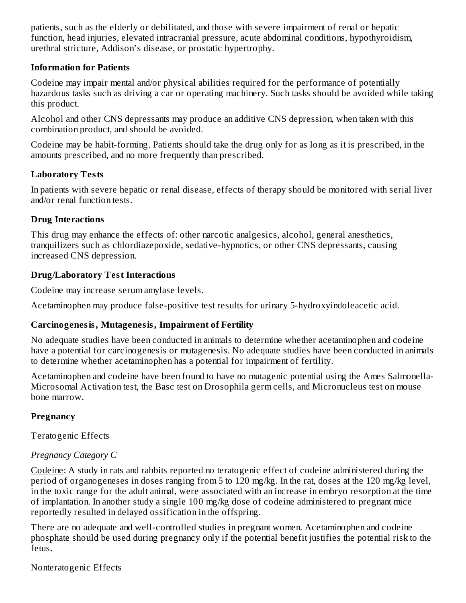patients, such as the elderly or debilitated, and those with severe impairment of renal or hepatic function, head injuries, elevated intracranial pressure, acute abdominal conditions, hypothyroidism, urethral stricture, Addison's disease, or prostatic hypertrophy.

#### **Information for Patients**

Codeine may impair mental and/or physical abilities required for the performance of potentially hazardous tasks such as driving a car or operating machinery. Such tasks should be avoided while taking this product.

Alcohol and other CNS depressants may produce an additive CNS depression, when taken with this combination product, and should be avoided.

Codeine may be habit-forming. Patients should take the drug only for as long as it is prescribed, in the amounts prescribed, and no more frequently than prescribed.

#### **Laboratory Tests**

In patients with severe hepatic or renal disease, effects of therapy should be monitored with serial liver and/or renal function tests.

### **Drug Interactions**

This drug may enhance the effects of: other narcotic analgesics, alcohol, general anesthetics, tranquilizers such as chlordiazepoxide, sedative-hypnotics, or other CNS depressants, causing increased CNS depression.

### **Drug/Laboratory Test Interactions**

Codeine may increase serum amylase levels.

Acetaminophen may produce false-positive test results for urinary 5-hydroxyindoleacetic acid.

### **Carcinogenesis, Mutagenesis, Impairment of Fertility**

No adequate studies have been conducted in animals to determine whether acetaminophen and codeine have a potential for carcinogenesis or mutagenesis. No adequate studies have been conducted in animals to determine whether acetaminophen has a potential for impairment of fertility.

Acetaminophen and codeine have been found to have no mutagenic potential using the Ames Salmonella-Microsomal Activation test, the Basc test on Drosophila germ cells, and Micronucleus test on mouse bone marrow.

# **Pregnancy**

Teratogenic Effects

### *Pregnancy Category C*

Codeine: A study in rats and rabbits reported no teratogenic effect of codeine administered during the period of organogeneses in doses ranging from 5 to 120 mg/kg. In the rat, doses at the 120 mg/kg level, in the toxic range for the adult animal, were associated with an increase in embryo resorption at the time of implantation. In another study a single 100 mg/kg dose of codeine administered to pregnant mice reportedly resulted in delayed ossification in the offspring.

There are no adequate and well-controlled studies in pregnant women. Acetaminophen and codeine phosphate should be used during pregnancy only if the potential benefit justifies the potential risk to the fetus.

Nonteratogenic Effects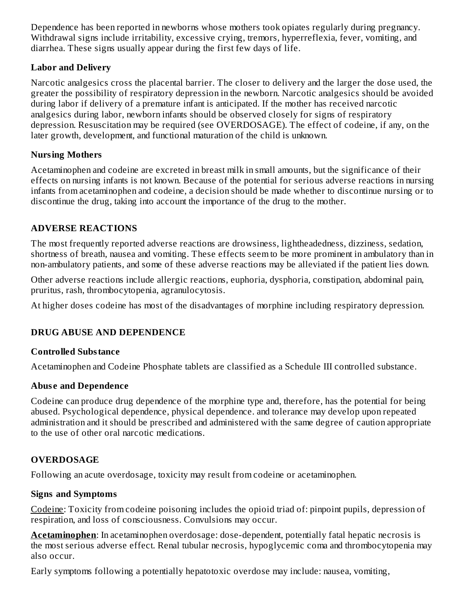Dependence has been reported in newborns whose mothers took opiates regularly during pregnancy. Withdrawal signs include irritability, excessive crying, tremors, hyperreflexia, fever, vomiting, and diarrhea. These signs usually appear during the first few days of life.

## **Labor and Delivery**

Narcotic analgesics cross the placental barrier. The closer to delivery and the larger the dose used, the greater the possibility of respiratory depression in the newborn. Narcotic analgesics should be avoided during labor if delivery of a premature infant is anticipated. If the mother has received narcotic analgesics during labor, newborn infants should be observed closely for signs of respiratory depression. Resuscitation may be required (see OVERDOSAGE). The effect of codeine, if any, on the later growth, development, and functional maturation of the child is unknown.

## **Nursing Mothers**

Acetaminophen and codeine are excreted in breast milk in small amounts, but the significance of their effects on nursing infants is not known. Because of the potential for serious adverse reactions in nursing infants from acetaminophen and codeine, a decision should be made whether to discontinue nursing or to discontinue the drug, taking into account the importance of the drug to the mother.

# **ADVERSE REACTIONS**

The most frequently reported adverse reactions are drowsiness, lightheadedness, dizziness, sedation, shortness of breath, nausea and vomiting. These effects seem to be more prominent in ambulatory than in non-ambulatory patients, and some of these adverse reactions may be alleviated if the patient lies down.

Other adverse reactions include allergic reactions, euphoria, dysphoria, constipation, abdominal pain, pruritus, rash, thrombocytopenia, agranulocytosis.

At higher doses codeine has most of the disadvantages of morphine including respiratory depression.

# **DRUG ABUSE AND DEPENDENCE**

### **Controlled Substance**

Acetaminophen and Codeine Phosphate tablets are classified as a Schedule III controlled substance.

# **Abus e and Dependence**

Codeine can produce drug dependence of the morphine type and, therefore, has the potential for being abused. Psychological dependence, physical dependence. and tolerance may develop upon repeated administration and it should be prescribed and administered with the same degree of caution appropriate to the use of other oral narcotic medications.

# **OVERDOSAGE**

Following an acute overdosage, toxicity may result from codeine or acetaminophen.

# **Signs and Symptoms**

Codeine: Toxicity from codeine poisoning includes the opioid triad of: pinpoint pupils, depression of respiration, and loss of consciousness. Convulsions may occur.

**Acetaminophen**: In acetaminophen overdosage: dose-dependent, potentially fatal hepatic necrosis is the most serious adverse effect. Renal tubular necrosis, hypoglycemic coma and thrombocytopenia may also occur.

Early symptoms following a potentially hepatotoxic overdose may include: nausea, vomiting,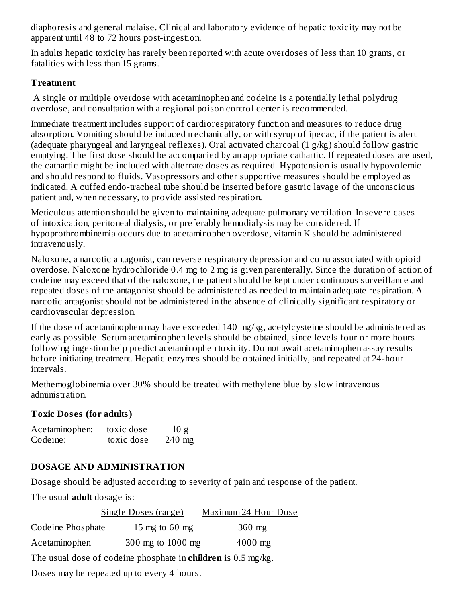diaphoresis and general malaise. Clinical and laboratory evidence of hepatic toxicity may not be apparent until 48 to 72 hours post-ingestion.

In adults hepatic toxicity has rarely been reported with acute overdoses of less than 10 grams, or fatalities with less than 15 grams.

## **Treatment**

A single or multiple overdose with acetaminophen and codeine is a potentially lethal polydrug overdose, and consultation with a regional poison control center is recommended.

Immediate treatment includes support of cardiorespiratory function and measures to reduce drug absorption. Vomiting should be induced mechanically, or with syrup of ipecac, if the patient is alert (adequate pharyngeal and laryngeal reflexes). Oral activated charcoal (1 g/kg) should follow gastric emptying. The first dose should be accompanied by an appropriate cathartic. If repeated doses are used, the cathartic might be included with alternate doses as required. Hypotension is usually hypovolemic and should respond to fluids. Vasopressors and other supportive measures should be employed as indicated. A cuffed endo-tracheal tube should be inserted before gastric lavage of the unconscious patient and, when necessary, to provide assisted respiration.

Meticulous attention should be given to maintaining adequate pulmonary ventilation. In severe cases of intoxication, peritoneal dialysis, or preferably hemodialysis may be considered. If hypoprothrombinemia occurs due to acetaminophen overdose, vitamin K should be administered intravenously.

Naloxone, a narcotic antagonist, can reverse respiratory depression and coma associated with opioid overdose. Naloxone hydrochloride 0.4 mg to 2 mg is given parenterally. Since the duration of action of codeine may exceed that of the naloxone, the patient should be kept under continuous surveillance and repeated doses of the antagonist should be administered as needed to maintain adequate respiration. A narcotic antagonist should not be administered in the absence of clinically significant respiratory or cardiovascular depression.

If the dose of acetaminophen may have exceeded 140 mg/kg, acetylcysteine should be administered as early as possible. Serum acetaminophen levels should be obtained, since levels four or more hours following ingestion help predict acetaminophen toxicity. Do not await acetaminophen assay results before initiating treatment. Hepatic enzymes should be obtained initially, and repeated at 24-hour intervals.

Methemoglobinemia over 30% should be treated with methylene blue by slow intravenous administration.

# **Toxic Dos es (for adults)**

| Acetaminophen: | toxic dose | 10g      |
|----------------|------------|----------|
| Codeine:       | toxic dose | $240$ mg |

# **DOSAGE AND ADMINISTRATION**

Dosage should be adjusted according to severity of pain and response of the patient.

The usual **adult** dosage is:

|                                                                        | <b>Single Doses (range)</b> | Maximum 24 Hour Dose |  |  |  |
|------------------------------------------------------------------------|-----------------------------|----------------------|--|--|--|
| Codeine Phosphate                                                      | 15 mg to $60$ mg            | $360$ mg             |  |  |  |
| Acetaminophen                                                          | 300 mg to 1000 mg           | $4000$ mg            |  |  |  |
| The usual dose of codeine phosphate in <b>children</b> is $0.5$ mg/kg. |                             |                      |  |  |  |
| Doses may be repeated up to every 4 hours.                             |                             |                      |  |  |  |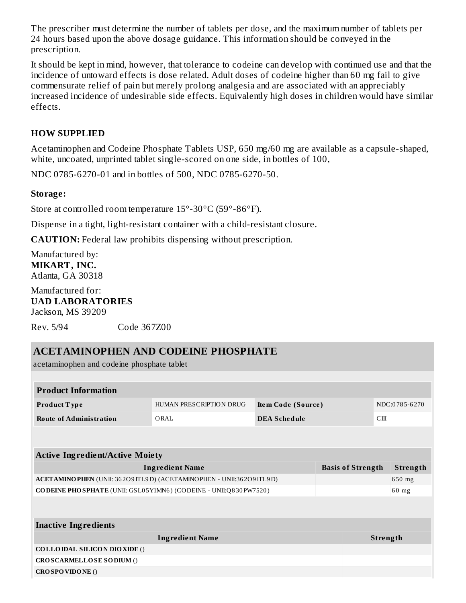The prescriber must determine the number of tablets per dose, and the maximum number of tablets per 24 hours based upon the above dosage guidance. This information should be conveyed in the prescription.

It should be kept in mind, however, that tolerance to codeine can develop with continued use and that the incidence of untoward effects is dose related. Adult doses of codeine higher than 60 mg fail to give commensurate relief of pain but merely prolong analgesia and are associated with an appreciably increased incidence of undesirable side effects. Equivalently high doses in children would have similar effects.

### **HOW SUPPLIED**

Acetaminophen and Codeine Phosphate Tablets USP, 650 mg/60 mg are available as a capsule-shaped, white, uncoated, unprinted tablet single-scored on one side, in bottles of 100,

NDC 0785-6270-01 and in bottles of 500, NDC 0785-6270-50.

#### **Storage:**

Store at controlled room temperature 15°-30°C (59°-86°F).

Dispense in a tight, light-resistant container with a child-resistant closure.

**CAUTION:** Federal law prohibits dispensing without prescription.

Manufactured by: **MIKART, INC.** Atlanta, GA 30318

Manufactured for: **UAD LABORATORIES** Jackson, MS 39209

Rev. 5/94 Code 367Z00

# **ACETAMINOPHEN AND CODEINE PHOSPHATE**

acetaminophen and codeine phosphate tablet

| <b>Product Information</b>                                              |                         |                     |  |                          |                  |          |  |  |
|-------------------------------------------------------------------------|-------------------------|---------------------|--|--------------------------|------------------|----------|--|--|
| Product Type                                                            | HUMAN PRESCRIPTION DRUG | Item Code (Source)  |  |                          | NDC:0785-6270    |          |  |  |
| <b>Route of Administration</b>                                          | ORAL                    | <b>DEA Schedule</b> |  |                          | C <sub>III</sub> |          |  |  |
|                                                                         |                         |                     |  |                          |                  |          |  |  |
|                                                                         |                         |                     |  |                          |                  |          |  |  |
| <b>Active Ingredient/Active Moiety</b>                                  |                         |                     |  |                          |                  |          |  |  |
| <b>Ingredient Name</b>                                                  |                         |                     |  | <b>Basis of Strength</b> |                  | Strength |  |  |
| ACETAMINO PHEN (UNII: 36209 ITL9D) (ACETAMINO PHEN - UNII:36209 ITL9D)  |                         |                     |  |                          |                  | 650 mg   |  |  |
| <b>CODEINE PHOSPHATE</b> (UNII: GSL05Y1MN6) (CODEINE - UNII:Q830PW7520) |                         |                     |  |                          | $60$ mg          |          |  |  |
|                                                                         |                         |                     |  |                          |                  |          |  |  |
|                                                                         |                         |                     |  |                          |                  |          |  |  |
| <b>Inactive Ingredients</b>                                             |                         |                     |  |                          |                  |          |  |  |
| <b>Ingredient Name</b>                                                  |                         |                     |  | <b>Strength</b>          |                  |          |  |  |
| <b>COLLOIDAL SILICON DIOXIDE ()</b>                                     |                         |                     |  |                          |                  |          |  |  |
| <b>CROSCARMELLOSE SODIUM ()</b>                                         |                         |                     |  |                          |                  |          |  |  |
| $CRO$ SPO VIDO NE()                                                     |                         |                     |  |                          |                  |          |  |  |